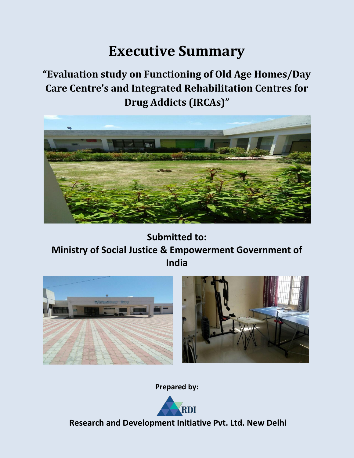# **Executive Summary**

# **"Evaluation study on Functioning of Old Age Homes/Day Care Centre's and Integrated Rehabilitation Centres for Drug Addicts (IRCAs)"**



**Submitted to: Ministry of Social Justice & Empowerment Government of India**





**Prepared by:**



**Research and Development Initiative Pvt. Ltd. New Delhi**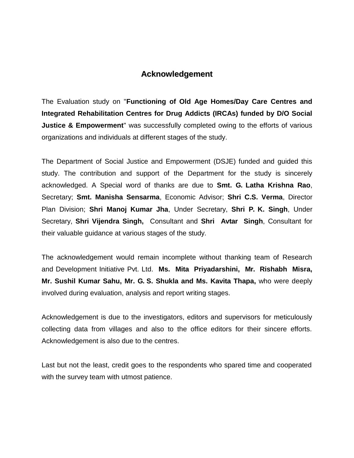# **Acknowledgement**

The Evaluation study on "**Functioning of Old Age Homes/Day Care Centres and Integrated Rehabilitation Centres for Drug Addicts (IRCAs) funded by D/O Social Justice & Empowerment**" was successfully completed owing to the efforts of various organizations and individuals at different stages of the study.

The Department of Social Justice and Empowerment (DSJE) funded and guided this study. The contribution and support of the Department for the study is sincerely acknowledged. A Special word of thanks are due to **Smt. G. Latha Krishna Rao**, Secretary; **Smt. Manisha Sensarma**, Economic Advisor; **Shri C.S. Verma**, Director Plan Division; **Shri Manoj Kumar Jha**, Under Secretary, **Shri P. K. Singh**, Under Secretary, **Shri Vijendra Singh,** Consultant and **Shri Avtar Singh**, Consultant for their valuable guidance at various stages of the study.

The acknowledgement would remain incomplete without thanking team of Research and Development Initiative Pvt. Ltd. **Ms. Mita Priyadarshini, Mr. Rishabh Misra, Mr. Sushil Kumar Sahu, Mr. G. S. Shukla and Ms. Kavita Thapa,** who were deeply involved during evaluation, analysis and report writing stages.

Acknowledgement is due to the investigators, editors and supervisors for meticulously collecting data from villages and also to the office editors for their sincere efforts. Acknowledgement is also due to the centres.

Last but not the least, credit goes to the respondents who spared time and cooperated with the survey team with utmost patience.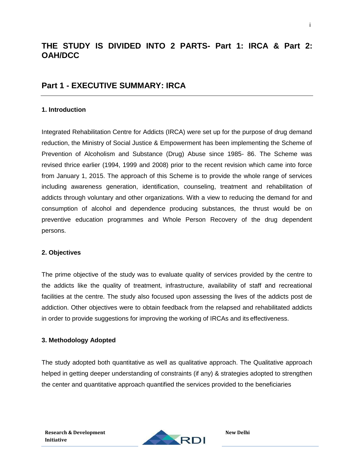# **THE STUDY IS DIVIDED INTO 2 PARTS- Part 1: IRCA & Part 2: OAH/DCC**

# **Part 1 - EXECUTIVE SUMMARY: IRCA**

### **1. Introduction**

Integrated Rehabilitation Centre for Addicts (IRCA) were set up for the purpose of drug demand reduction, the Ministry of Social Justice & Empowerment has been implementing the Scheme of Prevention of Alcoholism and Substance (Drug) Abuse since 1985- 86. The Scheme was revised thrice earlier (1994, 1999 and 2008) prior to the recent revision which came into force from January 1, 2015. The approach of this Scheme is to provide the whole range of services including awareness generation, identification, counseling, treatment and rehabilitation of addicts through voluntary and other organizations. With a view to reducing the demand for and consumption of alcohol and dependence producing substances, the thrust would be on preventive education programmes and Whole Person Recovery of the drug dependent persons.

### **2. Objectives**

The prime objective of the study was to evaluate quality of services provided by the centre to the addicts like the quality of treatment, infrastructure, availability of staff and recreational facilities at the centre. The study also focused upon assessing the lives of the addicts post de addiction. Other objectives were to obtain feedback from the relapsed and rehabilitated addicts in order to provide suggestions for improving the working of IRCAs and its effectiveness.

### **3. Methodology Adopted**

The study adopted both quantitative as well as qualitative approach. The Qualitative approach helped in getting deeper understanding of constraints (if any) & strategies adopted to strengthen the center and quantitative approach quantified the services provided to the beneficiaries

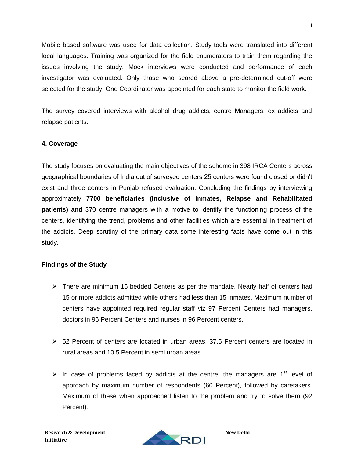Mobile based software was used for data collection. Study tools were translated into different local languages. Training was organized for the field enumerators to train them regarding the issues involving the study. Mock interviews were conducted and performance of each investigator was evaluated. Only those who scored above a pre-determined cut-off were selected for the study. One Coordinator was appointed for each state to monitor the field work.

The survey covered interviews with alcohol drug addicts, centre Managers, ex addicts and relapse patients.

### **4. Coverage**

The study focuses on evaluating the main objectives of the scheme in 398 IRCA Centers across geographical boundaries of India out of surveyed centers 25 centers were found closed or didn't exist and three centers in Punjab refused evaluation. Concluding the findings by interviewing approximately **7700 beneficiaries (inclusive of Inmates, Relapse and Rehabilitated patients) and** 370 centre managers with a motive to identify the functioning process of the centers, identifying the trend, problems and other facilities which are essential in treatment of the addicts. Deep scrutiny of the primary data some interesting facts have come out in this study.

### **Findings of the Study**

- $\triangleright$  There are minimum 15 bedded Centers as per the mandate. Nearly half of centers had 15 or more addicts admitted while others had less than 15 inmates. Maximum number of centers have appointed required regular staff viz 97 Percent Centers had managers, doctors in 96 Percent Centers and nurses in 96 Percent centers.
- $\geq$  52 Percent of centers are located in urban areas, 37.5 Percent centers are located in rural areas and 10.5 Percent in semi urban areas
- In case of problems faced by addicts at the centre, the managers are  $1<sup>st</sup>$  level of approach by maximum number of respondents (60 Percent), followed by caretakers. Maximum of these when approached listen to the problem and try to solve them (92 Percent).

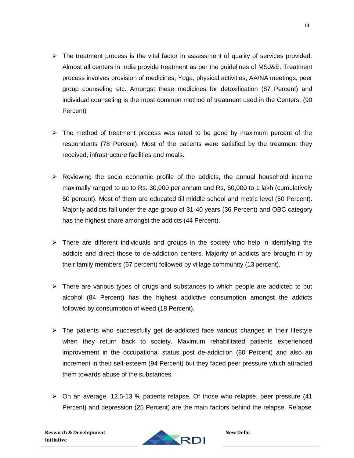- $\triangleright$  The treatment process is the vital factor in assessment of quality of services provided. Almost all centers in India provide treatment as per the guidelines of MSJ&E. Treatment process involves provision of medicines, Yoga, physical activities, AA/NA meetings, peer group counseling etc. Amongst these medicines for detoxification (87 Percent) and individual counseling is the most common method of treatment used in the Centers. (90 Percent)
- $\triangleright$  The method of treatment process was rated to be good by maximum percent of the respondents (78 Percent). Most of the patients were satisfied by the treatment they received, infrastructure facilities and meals.
- $\triangleright$  Reviewing the socio economic profile of the addicts, the annual household income maximally ranged to up to Rs. 30,000 per annum and Rs, 60,000 to 1 lakh (cumulatively 50 percent). Most of them are educated till middle school and metric level (50 Percent). Majority addicts fall under the age group of 31-40 years (36 Percent) and OBC category has the highest share amongst the addicts (44 Percent).
- $\triangleright$  There are different individuals and groups in the society who help in identifying the addicts and direct those to de-addiction centers. Majority of addicts are brought in by their family members (67 percent) followed by village community (13 percent).
- $\triangleright$  There are various types of drugs and substances to which people are addicted to but alcohol (84 Percent) has the highest addictive consumption amongst the addicts followed by consumption of weed (18 Percent).
- $\triangleright$  The patients who successfully get de-addicted face various changes in their lifestyle when they return back to society. Maximum rehabilitated patients experienced improvement in the occupational status post de-addiction (80 Percent) and also an increment in their self-esteem (94 Percent) but they faced peer pressure which attracted them towards abuse of the substances.
- On an average, 12.5-13 % patients relapse. Of those who relapse, peer pressure (41 Percent) and depression (25 Percent) are the main factors behind the relapse. Relapse

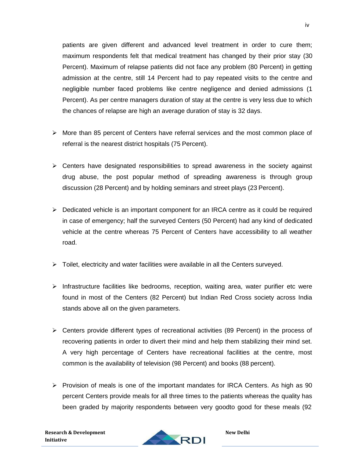patients are given different and advanced level treatment in order to cure them; maximum respondents felt that medical treatment has changed by their prior stay (30 Percent). Maximum of relapse patients did not face any problem (80 Percent) in getting admission at the centre, still 14 Percent had to pay repeated visits to the centre and negligible number faced problems like centre negligence and denied admissions (1 Percent). As per centre managers duration of stay at the centre is very less due to which the chances of relapse are high an average duration of stay is 32 days.

- $\triangleright$  More than 85 percent of Centers have referral services and the most common place of referral is the nearest district hospitals (75 Percent).
- $\triangleright$  Centers have designated responsibilities to spread awareness in the society against drug abuse, the post popular method of spreading awareness is through group discussion (28 Percent) and by holding seminars and street plays (23 Percent).
- $\triangleright$  Dedicated vehicle is an important component for an IRCA centre as it could be required in case of emergency; half the surveyed Centers (50 Percent) had any kind of dedicated vehicle at the centre whereas 75 Percent of Centers have accessibility to all weather road.
- $\triangleright$  Toilet, electricity and water facilities were available in all the Centers surveyed.
- $\triangleright$  Infrastructure facilities like bedrooms, reception, waiting area, water purifier etc were found in most of the Centers (82 Percent) but Indian Red Cross society across India stands above all on the given parameters.
- Centers provide different types of recreational activities (89 Percent) in the process of recovering patients in order to divert their mind and help them stabilizing their mind set. A very high percentage of Centers have recreational facilities at the centre, most common is the availability of television (98 Percent) and books (88 percent).
- $\triangleright$  Provision of meals is one of the important mandates for IRCA Centers. As high as 90 percent Centers provide meals for all three times to the patients whereas the quality has been graded by majority respondents between very goodto good for these meals (92

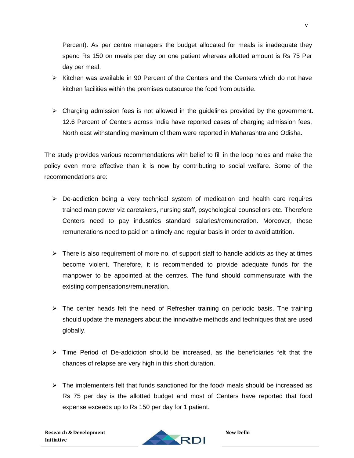Percent). As per centre managers the budget allocated for meals is inadequate they spend Rs 150 on meals per day on one patient whereas allotted amount is Rs 75 Per day per meal.

- $\triangleright$  Kitchen was available in 90 Percent of the Centers and the Centers which do not have kitchen facilities within the premises outsource the food from outside.
- $\triangleright$  Charging admission fees is not allowed in the guidelines provided by the government. 12.6 Percent of Centers across India have reported cases of charging admission fees, North east withstanding maximum of them were reported in Maharashtra and Odisha.

The study provides various recommendations with belief to fill in the loop holes and make the policy even more effective than it is now by contributing to social welfare. Some of the recommendations are:

- $\triangleright$  De-addiction being a very technical system of medication and health care requires trained man power viz caretakers, nursing staff, psychological counsellors etc. Therefore Centers need to pay industries standard salaries/remuneration. Moreover, these remunerations need to paid on a timely and regular basis in order to avoid attrition.
- $\triangleright$  There is also requirement of more no. of support staff to handle addicts as they at times become violent. Therefore, it is recommended to provide adequate funds for the manpower to be appointed at the centres. The fund should commensurate with the existing compensations/remuneration.
- $\triangleright$  The center heads felt the need of Refresher training on periodic basis. The training should update the managers about the innovative methods and techniques that are used globally.
- $\triangleright$  Time Period of De-addiction should be increased, as the beneficiaries felt that the chances of relapse are very high in this short duration.
- $\triangleright$  The implementers felt that funds sanctioned for the food/ meals should be increased as Rs 75 per day is the allotted budget and most of Centers have reported that food expense exceeds up to Rs 150 per day for 1 patient.

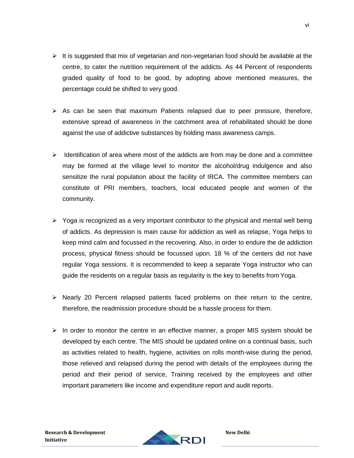- $\triangleright$  It is suggested that mix of vegetarian and non-vegetarian food should be available at the centre, to cater the nutrition requirement of the addicts. As 44 Percent of respondents graded quality of food to be good, by adopting above mentioned measures, the percentage could be shifted to very good.
- $\triangleright$  As can be seen that maximum Patients relapsed due to peer pressure, therefore, extensive spread of awareness in the catchment area of rehabilitated should be done against the use of addictive substances by holding mass awareness camps.
- $\triangleright$  Identification of area where most of the addicts are from may be done and a committee may be formed at the village level to monitor the alcohol/drug indulgence and also sensitize the rural population about the facility of IRCA. The committee members can constitute of PRI members, teachers, local educated people and women of the community.
- $\triangleright$  Yoga is recognized as a very important contributor to the physical and mental well being of addicts. As depression is main cause for addiction as well as relapse, Yoga helps to keep mind calm and focussed in the recovering. Also, in order to endure the de addiction process, physical fitness should be focussed upon. 18 % of the centers did not have regular Yoga sessions. It is recommended to keep a separate Yoga instructor who can guide the residents on a regular basis as regularity is the key to benefits from Yoga.
- $\triangleright$  Nearly 20 Percent relapsed patients faced problems on their return to the centre, therefore, the readmission procedure should be a hassle process for them.
- $\triangleright$  In order to monitor the centre in an effective manner, a proper MIS system should be developed by each centre. The MIS should be updated online on a continual basis, such as activities related to health, hygiene, activities on rolls month-wise during the period, those relieved and relapsed during the period with details of the employees during the period and their period of service, Training received by the employees and other important parameters like income and expenditure report and audit reports.

RDI

**Research & Development** 

**Initiative**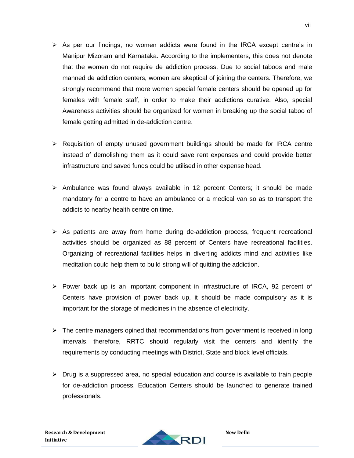- $\triangleright$  As per our findings, no women addicts were found in the IRCA except centre's in Manipur Mizoram and Karnataka. According to the implementers, this does not denote that the women do not require de addiction process. Due to social taboos and male manned de addiction centers, women are skeptical of joining the centers. Therefore, we strongly recommend that more women special female centers should be opened up for females with female staff, in order to make their addictions curative. Also, special Awareness activities should be organized for women in breaking up the social taboo of female getting admitted in de-addiction centre.
- $\triangleright$  Requisition of empty unused government buildings should be made for IRCA centre instead of demolishing them as it could save rent expenses and could provide better infrastructure and saved funds could be utilised in other expense head.
- $\triangleright$  Ambulance was found always available in 12 percent Centers; it should be made mandatory for a centre to have an ambulance or a medical van so as to transport the addicts to nearby health centre on time.
- $\triangleright$  As patients are away from home during de-addiction process, frequent recreational activities should be organized as 88 percent of Centers have recreational facilities. Organizing of recreational facilities helps in diverting addicts mind and activities like meditation could help them to build strong will of quitting the addiction.
- $\triangleright$  Power back up is an important component in infrastructure of IRCA, 92 percent of Centers have provision of power back up, it should be made compulsory as it is important for the storage of medicines in the absence of electricity.
- $\triangleright$  The centre managers opined that recommendations from government is received in long intervals, therefore, RRTC should regularly visit the centers and identify the requirements by conducting meetings with District, State and block level officials.
- $\triangleright$  Drug is a suppressed area, no special education and course is available to train people for de-addiction process. Education Centers should be launched to generate trained professionals.

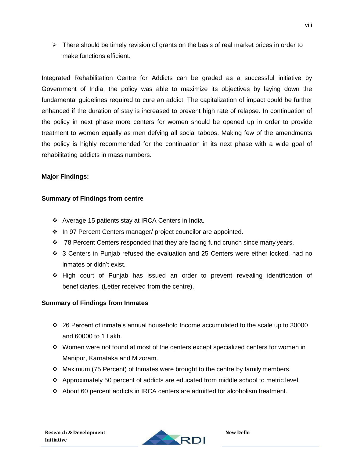$\triangleright$  There should be timely revision of grants on the basis of real market prices in order to make functions efficient.

Integrated Rehabilitation Centre for Addicts can be graded as a successful initiative by Government of India, the policy was able to maximize its objectives by laying down the fundamental guidelines required to cure an addict. The capitalization of impact could be further enhanced if the duration of stay is increased to prevent high rate of relapse. In continuation of the policy in next phase more centers for women should be opened up in order to provide treatment to women equally as men defying all social taboos. Making few of the amendments the policy is highly recommended for the continuation in its next phase with a wide goal of rehabilitating addicts in mass numbers.

# **Major Findings:**

# **Summary of Findings from centre**

- Average 15 patients stay at IRCA Centers in India.
- In 97 Percent Centers manager/ project councilor are appointed.
- $\cdot \cdot$  78 Percent Centers responded that they are facing fund crunch since many years.
- 3 Centers in Punjab refused the evaluation and 25 Centers were either locked, had no inmates or didn't exist.
- High court of Punjab has issued an order to prevent revealing identification of beneficiaries. (Letter received from the centre).

# **Summary of Findings from Inmates**

- $\div$  26 Percent of inmate's annual household Income accumulated to the scale up to 30000 and 60000 to 1 Lakh.
- $\cdot$  Women were not found at most of the centers except specialized centers for women in Manipur, Karnataka and Mizoram.
- Maximum (75 Percent) of Inmates were brought to the centre by family members.
- Approximately 50 percent of addicts are educated from middle school to metric level.
- About 60 percent addicts in IRCA centers are admitted for alcoholism treatment.

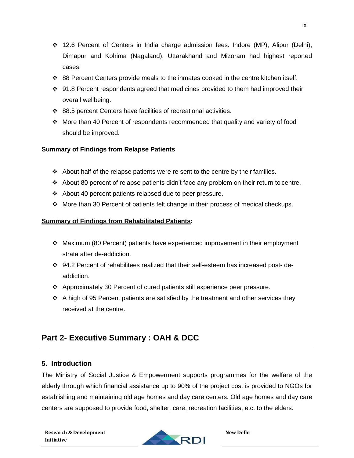- 12.6 Percent of Centers in India charge admission fees. Indore (MP), Alipur (Delhi), Dimapur and Kohima (Nagaland), Uttarakhand and Mizoram had highest reported cases.
- $\div$  88 Percent Centers provide meals to the inmates cooked in the centre kitchen itself.
- ◆ 91.8 Percent respondents agreed that medicines provided to them had improved their overall wellbeing.
- 88.5 percent Centers have facilities of recreational activities.
- More than 40 Percent of respondents recommended that quality and variety of food should be improved.

# **Summary of Findings from Relapse Patients**

- About half of the relapse patients were re sent to the centre by their families.
- $\div$  About 80 percent of relapse patients didn't face any problem on their return to centre.
- About 40 percent patients relapsed due to peer pressure.
- $\div$  More than 30 Percent of patients felt change in their process of medical checkups.

# **Summary of Findings from Rehabilitated Patients:**

- Maximum (80 Percent) patients have experienced improvement in their employment strata after de-addiction.
- 94.2 Percent of rehabilitees realized that their self-esteem has increased post- deaddiction.
- Approximately 30 Percent of cured patients still experience peer pressure.
- $\div$  A high of 95 Percent patients are satisfied by the treatment and other services they received at the centre.

# **Part 2- Executive Summary : OAH & DCC**

# **5. Introduction**

The Ministry of Social Justice & Empowerment supports programmes for the welfare of the elderly through which financial assistance up to 90% of the project cost is provided to NGOs for establishing and maintaining old age homes and day care centers. Old age homes and day care centers are supposed to provide food, shelter, care, recreation facilities, etc. to the elders.

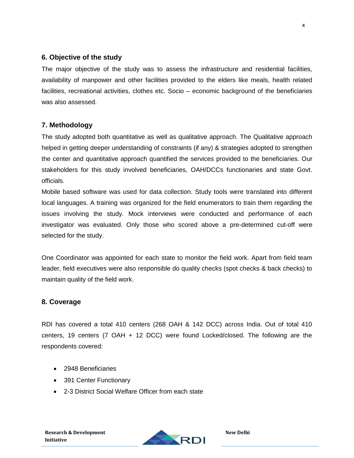# **6. Objective of the study**

The major objective of the study was to assess the infrastructure and residential facilities, availability of manpower and other facilities provided to the elders like meals, health related facilities, recreational activities, clothes etc. Socio – economic background of the beneficiaries was also assessed.

# **7. Methodology**

The study adopted both quantitative as well as qualitative approach. The Qualitative approach helped in getting deeper understanding of constraints (if any) & strategies adopted to strengthen the center and quantitative approach quantified the services provided to the beneficiaries. Our stakeholders for this study involved beneficiaries, OAH/DCCs functionaries and state Govt. officials.

Mobile based software was used for data collection. Study tools were translated into different local languages. A training was organized for the field enumerators to train them regarding the issues involving the study. Mock interviews were conducted and performance of each investigator was evaluated. Only those who scored above a pre-determined cut-off were selected for the study.

One Coordinator was appointed for each state to monitor the field work. Apart from field team leader, field executives were also responsible do quality checks (spot checks & back checks) to maintain quality of the field work.

### **8. Coverage**

RDI has covered a total 410 centers (268 OAH & 142 DCC) across India. Out of total 410 centers, 19 centers (7 OAH + 12 DCC) were found Locked/closed. The following are the respondents covered:

- 2948 Beneficiaries
- 391 Center Functionary
- 2-3 District Social Welfare Officer from each state

x

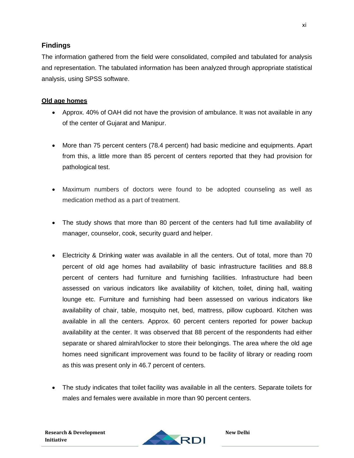# **Findings**

The information gathered from the field were consolidated, compiled and tabulated for analysis and representation. The tabulated information has been analyzed through appropriate statistical analysis, using SPSS software.

#### **Old age homes**

- Approx. 40% of OAH did not have the provision of ambulance. It was not available in any of the center of Gujarat and Manipur.
- More than 75 percent centers (78.4 percent) had basic medicine and equipments. Apart from this, a little more than 85 percent of centers reported that they had provision for pathological test.
- Maximum numbers of doctors were found to be adopted counseling as well as medication method as a part of treatment.
- The study shows that more than 80 percent of the centers had full time availability of manager, counselor, cook, security guard and helper.
- Electricity & Drinking water was available in all the centers. Out of total, more than 70 percent of old age homes had availability of basic infrastructure facilities and 88.8 percent of centers had furniture and furnishing facilities. Infrastructure had been assessed on various indicators like availability of kitchen, toilet, dining hall, waiting lounge etc. Furniture and furnishing had been assessed on various indicators like availability of chair, table, mosquito net, bed, mattress, pillow cupboard. Kitchen was available in all the centers. Approx. 60 percent centers reported for power backup availability at the center. It was observed that 88 percent of the respondents had either separate or shared almirah/locker to store their belongings. The area where the old age homes need significant improvement was found to be facility of library or reading room as this was present only in 46.7 percent of centers.
- The study indicates that toilet facility was available in all the centers. Separate toilets for males and females were available in more than 90 percent centers.

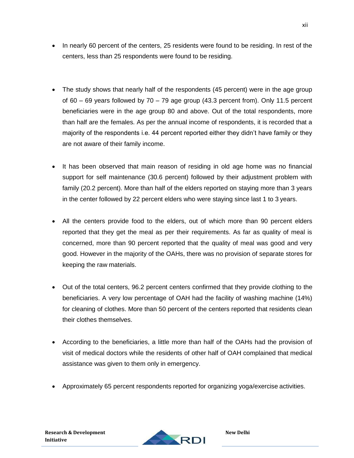- In nearly 60 percent of the centers, 25 residents were found to be residing. In rest of the centers, less than 25 respondents were found to be residing.
- The study shows that nearly half of the respondents (45 percent) were in the age group of 60 – 69 years followed by 70 – 79 age group (43.3 percent from). Only 11.5 percent beneficiaries were in the age group 80 and above. Out of the total respondents, more than half are the females. As per the annual income of respondents, it is recorded that a majority of the respondents i.e. 44 percent reported either they didn't have family or they are not aware of their family income.
- It has been observed that main reason of residing in old age home was no financial support for self maintenance (30.6 percent) followed by their adjustment problem with family (20.2 percent). More than half of the elders reported on staying more than 3 years in the center followed by 22 percent elders who were staying since last 1 to 3 years.
- All the centers provide food to the elders, out of which more than 90 percent elders reported that they get the meal as per their requirements. As far as quality of meal is concerned, more than 90 percent reported that the quality of meal was good and very good. However in the majority of the OAHs, there was no provision of separate stores for keeping the raw materials.
- Out of the total centers, 96.2 percent centers confirmed that they provide clothing to the beneficiaries. A very low percentage of OAH had the facility of washing machine (14%) for cleaning of clothes. More than 50 percent of the centers reported that residents clean their clothes themselves.
- According to the beneficiaries, a little more than half of the OAHs had the provision of visit of medical doctors while the residents of other half of OAH complained that medical assistance was given to them only in emergency.
- Approximately 65 percent respondents reported for organizing yoga/exercise activities.

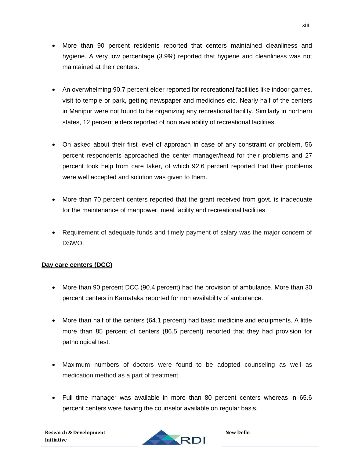- More than 90 percent residents reported that centers maintained cleanliness and hygiene. A very low percentage (3.9%) reported that hygiene and cleanliness was not maintained at their centers.
- An overwhelming 90.7 percent elder reported for recreational facilities like indoor games, visit to temple or park, getting newspaper and medicines etc. Nearly half of the centers in Manipur were not found to be organizing any recreational facility. Similarly in northern states, 12 percent elders reported of non availability of recreational facilities.
- On asked about their first level of approach in case of any constraint or problem, 56 percent respondents approached the center manager/head for their problems and 27 percent took help from care taker, of which 92.6 percent reported that their problems were well accepted and solution was given to them.
- More than 70 percent centers reported that the grant received from govt. is inadequate for the maintenance of manpower, meal facility and recreational facilities.
- Requirement of adequate funds and timely payment of salary was the major concern of DSWO.

# **Day care centers (DCC)**

- More than 90 percent DCC (90.4 percent) had the provision of ambulance. More than 30 percent centers in Karnataka reported for non availability of ambulance.
- More than half of the centers (64.1 percent) had basic medicine and equipments. A little more than 85 percent of centers (86.5 percent) reported that they had provision for pathological test.
- Maximum numbers of doctors were found to be adopted counseling as well as medication method as a part of treatment.
- Full time manager was available in more than 80 percent centers whereas in 65.6 percent centers were having the counselor available on regular basis.

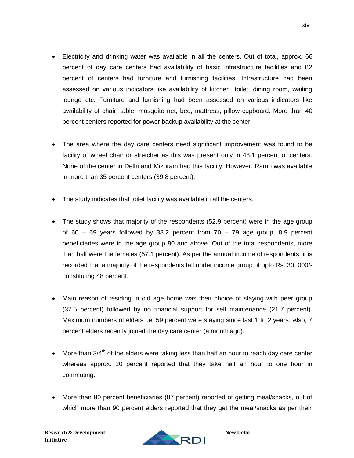Electricity and drinking water was available in all the centers. Out of total, approx. 66 percent of day care centers had availability of basic infrastructure facilities and 82 percent of centers had furniture and furnishing facilities. Infrastructure had been assessed on various indicators like availability of kitchen, toilet, dining room, waiting lounge etc. Furniture and furnishing had been assessed on various indicators like availability of chair, table, mosquito net, bed, mattress, pillow cupboard. More than 40 percent centers reported for power backup availability at the center.

xiv

- The area where the day care centers need significant improvement was found to be facility of wheel chair or stretcher as this was present only in 48.1 percent of centers. None of the center in Delhi and Mizoram had this facility. However, Ramp was available in more than 35 percent centers (39.8 percent).
- The study indicates that toilet facility was available in all the centers.
- The study shows that majority of the respondents (52.9 percent) were in the age group of  $60 - 69$  years followed by 38.2 percent from  $70 - 79$  age group. 8.9 percent beneficiaries were in the age group 80 and above. Out of the total respondents, more than half were the females (57.1 percent). As per the annual income of respondents, it is recorded that a majority of the respondents fall under income group of upto Rs. 30, 000/ constituting 48 percent.
- Main reason of residing in old age home was their choice of staying with peer group (37.5 percent) followed by no financial support for self maintenance (21.7 percent). Maximum numbers of elders i.e. 59 percent were staying since last 1 to 2 years. Also, 7 percent elders recently joined the day care center (a month ago).
- $\bullet$  More than 3/4<sup>th</sup> of the elders were taking less than half an hour to reach day care center whereas approx. 20 percent reported that they take half an hour to one hour in commuting.
- More than 80 percent beneficiaries (87 percent) reported of getting meal/snacks, out of which more than 90 percent elders reported that they get the meal/snacks as per their

**Research & Development Initiative**

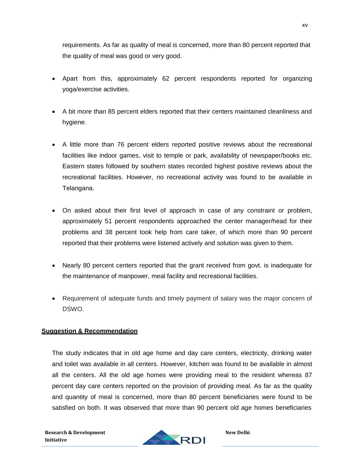requirements. As far as quality of meal is concerned, more than 80 percent reported that the quality of meal was good or very good.

- Apart from this, approximately 62 percent respondents reported for organizing yoga/exercise activities.
- A bit more than 85 percent elders reported that their centers maintained cleanliness and hygiene.
- A little more than 76 percent elders reported positive reviews about the recreational facilities like indoor games, visit to temple or park, availability of newspaper/books etc. Eastern states followed by southern states recorded highest positive reviews about the recreational facilities. However, no recreational activity was found to be available in Telangana.
- On asked about their first level of approach in case of any constraint or problem, approximately 51 percent respondents approached the center manager/head for their problems and 38 percent took help from care taker, of which more than 90 percent reported that their problems were listened actively and solution was given to them.
- Nearly 80 percent centers reported that the grant received from govt. is inadequate for the maintenance of manpower, meal facility and recreational facilities.
- Requirement of adequate funds and timely payment of salary was the major concern of DSWO.

### **Suggestion & Recommendation**

The study indicates that in old age home and day care centers, electricity, drinking water and toilet was available in all centers. However, kitchen was found to be available in almost all the centers. All the old age homes were providing meal to the resident whereas 87 percent day care centers reported on the provision of providing meal. As far as the quality and quantity of meal is concerned, more than 80 percent beneficiaries were found to be satisfied on both. It was observed that more than 90 percent old age homes beneficiaries

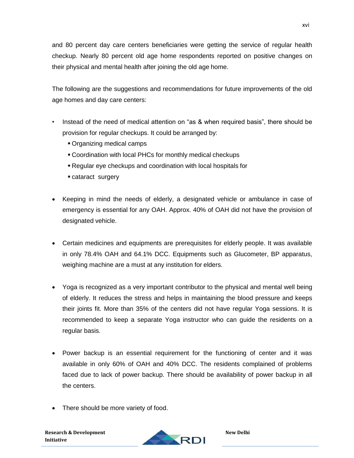and 80 percent day care centers beneficiaries were getting the service of regular health checkup. Nearly 80 percent old age home respondents reported on positive changes on their physical and mental health after joining the old age home.

The following are the suggestions and recommendations for future improvements of the old age homes and day care centers:

- Instead of the need of medical attention on "as & when required basis", there should be provision for regular checkups. It could be arranged by:
	- Organizing medical camps
	- Coordination with local PHCs for monthly medical checkups
	- Regular eye checkups and coordination with local hospitals for
	- cataract surgery
- Keeping in mind the needs of elderly, a designated vehicle or ambulance in case of emergency is essential for any OAH. Approx. 40% of OAH did not have the provision of designated vehicle.
- Certain medicines and equipments are prerequisites for elderly people. It was available in only 78.4% OAH and 64.1% DCC. Equipments such as Glucometer, BP apparatus, weighing machine are a must at any institution for elders.
- Yoga is recognized as a very important contributor to the physical and mental well being of elderly. It reduces the stress and helps in maintaining the blood pressure and keeps their joints fit. More than 35% of the centers did not have regular Yoga sessions. It is recommended to keep a separate Yoga instructor who can guide the residents on a regular basis.
- Power backup is an essential requirement for the functioning of center and it was available in only 60% of OAH and 40% DCC. The residents complained of problems faced due to lack of power backup. There should be availability of power backup in all the centers.
- There should be more variety of food.

**Research & Development Initiative**

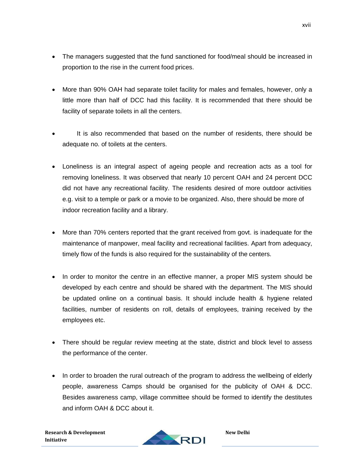- The managers suggested that the fund sanctioned for food/meal should be increased in proportion to the rise in the current food prices.
- More than 90% OAH had separate toilet facility for males and females, however, only a little more than half of DCC had this facility. It is recommended that there should be facility of separate toilets in all the centers.
- It is also recommended that based on the number of residents, there should be adequate no. of toilets at the centers.
- Loneliness is an integral aspect of ageing people and recreation acts as a tool for removing loneliness. It was observed that nearly 10 percent OAH and 24 percent DCC did not have any recreational facility. The residents desired of more outdoor activities e.g. visit to a temple or park or a movie to be organized. Also, there should be more of indoor recreation facility and a library.
- More than 70% centers reported that the grant received from govt. is inadequate for the maintenance of manpower, meal facility and recreational facilities. Apart from adequacy, timely flow of the funds is also required for the sustainability of the centers.
- In order to monitor the centre in an effective manner, a proper MIS system should be developed by each centre and should be shared with the department. The MIS should be updated online on a continual basis. It should include health & hygiene related facilities, number of residents on roll, details of employees, training received by the employees etc.
- There should be regular review meeting at the state, district and block level to assess the performance of the center.
- In order to broaden the rural outreach of the program to address the wellbeing of elderly people, awareness Camps should be organised for the publicity of OAH & DCC. Besides awareness camp, village committee should be formed to identify the destitutes and inform OAH & DCC about it.